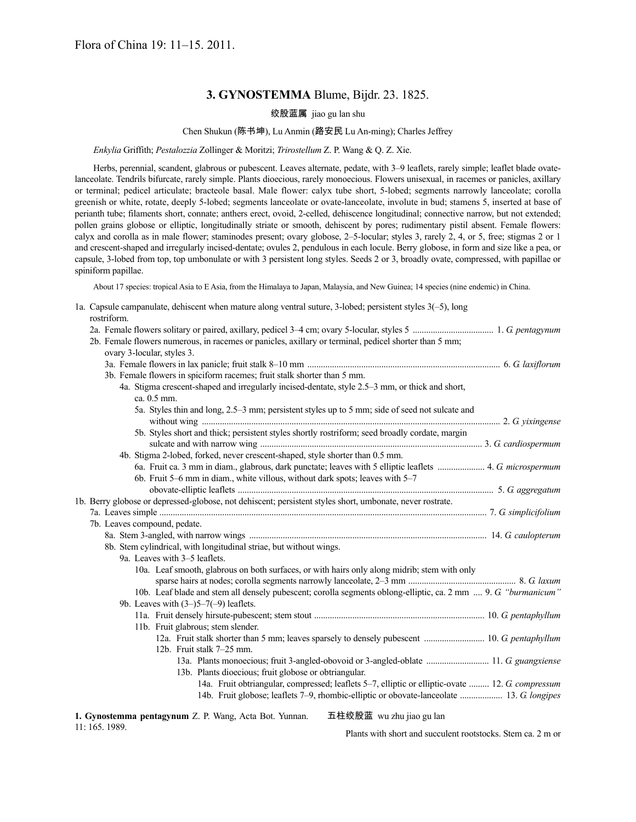# **3. GYNOSTEMMA** Blume, Bijdr. 23. 1825.

绞股蓝属 jiao gu lan shu

## Chen Shukun (陈书坤), Lu Anmin (路安民 Lu An-ming); Charles Jeffrey

*Enkylia* Griffith; *Pestalozzia* Zollinger & Moritzi; *Trirostellum* Z. P. Wang & Q. Z. Xie.

Herbs, perennial, scandent, glabrous or pubescent. Leaves alternate, pedate, with 3–9 leaflets, rarely simple; leaflet blade ovatelanceolate. Tendrils bifurcate, rarely simple. Plants dioecious, rarely monoecious. Flowers unisexual, in racemes or panicles, axillary or terminal; pedicel articulate; bracteole basal. Male flower: calyx tube short, 5-lobed; segments narrowly lanceolate; corolla greenish or white, rotate, deeply 5-lobed; segments lanceolate or ovate-lanceolate, involute in bud; stamens 5, inserted at base of perianth tube; filaments short, connate; anthers erect, ovoid, 2-celled, dehiscence longitudinal; connective narrow, but not extended; pollen grains globose or elliptic, longitudinally striate or smooth, dehiscent by pores; rudimentary pistil absent. Female flowers: calyx and corolla as in male flower; staminodes present; ovary globose, 2–5-locular; styles 3, rarely 2, 4, or 5, free; stigmas 2 or 1 and crescent-shaped and irregularly incised-dentate; ovules 2, pendulous in each locule. Berry globose, in form and size like a pea, or capsule, 3-lobed from top, top umbonulate or with 3 persistent long styles. Seeds 2 or 3, broadly ovate, compressed, with papillae or spiniform papillae.

About 17 species: tropical Asia to E Asia, from the Himalaya to Japan, Malaysia, and New Guinea; 14 species (nine endemic) in China.

| 1a. Capsule campanulate, dehiscent when mature along ventral suture, 3-lobed; persistent styles 3(-5), long |  |  |  |
|-------------------------------------------------------------------------------------------------------------|--|--|--|
| rostriform                                                                                                  |  |  |  |

|                                                                    |                               |                            |             |  |  | 2b. Female flowers numerous, in racemes or panicles, axillary or terminal, pedicel shorter than 5 mm;     |  |  |            |  |  |                                                                                                               |  |
|--------------------------------------------------------------------|-------------------------------|----------------------------|-------------|--|--|-----------------------------------------------------------------------------------------------------------|--|--|------------|--|--|---------------------------------------------------------------------------------------------------------------|--|
|                                                                    |                               | ovary 3-locular, styles 3. |             |  |  |                                                                                                           |  |  |            |  |  |                                                                                                               |  |
|                                                                    |                               |                            |             |  |  |                                                                                                           |  |  |            |  |  |                                                                                                               |  |
|                                                                    |                               |                            |             |  |  | 3b. Female flowers in spiciform racemes; fruit stalk shorter than 5 mm.                                   |  |  |            |  |  |                                                                                                               |  |
|                                                                    |                               |                            |             |  |  | 4a. Stigma crescent-shaped and irregularly incised-dentate, style 2.5–3 mm, or thick and short,           |  |  |            |  |  |                                                                                                               |  |
|                                                                    |                               |                            | ca. 0.5 mm. |  |  |                                                                                                           |  |  |            |  |  |                                                                                                               |  |
|                                                                    |                               |                            |             |  |  | 5a. Styles thin and long, 2.5–3 mm; persistent styles up to 5 mm; side of seed not sulcate and            |  |  |            |  |  |                                                                                                               |  |
|                                                                    |                               |                            |             |  |  | 5b. Styles short and thick; persistent styles shortly rostriform; seed broadly cordate, margin            |  |  |            |  |  |                                                                                                               |  |
|                                                                    |                               |                            |             |  |  |                                                                                                           |  |  |            |  |  |                                                                                                               |  |
|                                                                    |                               |                            |             |  |  | 4b. Stigma 2-lobed, forked, never crescent-shaped, style shorter than 0.5 mm.                             |  |  |            |  |  |                                                                                                               |  |
|                                                                    |                               |                            |             |  |  |                                                                                                           |  |  |            |  |  | 6a. Fruit ca. 3 mm in diam., glabrous, dark punctate; leaves with 5 elliptic leaflets  4. G microspermum      |  |
|                                                                    |                               |                            |             |  |  | 6b. Fruit 5-6 mm in diam., white villous, without dark spots; leaves with 5-7                             |  |  |            |  |  |                                                                                                               |  |
|                                                                    |                               |                            |             |  |  |                                                                                                           |  |  |            |  |  |                                                                                                               |  |
|                                                                    |                               |                            |             |  |  | 1b. Berry globose or depressed-globose, not dehiscent; persistent styles short, umbonate, never rostrate. |  |  |            |  |  |                                                                                                               |  |
|                                                                    |                               |                            |             |  |  |                                                                                                           |  |  |            |  |  |                                                                                                               |  |
| 7b. Leaves compound, pedate.                                       |                               |                            |             |  |  |                                                                                                           |  |  |            |  |  |                                                                                                               |  |
|                                                                    |                               |                            |             |  |  |                                                                                                           |  |  |            |  |  |                                                                                                               |  |
| 8b. Stem cylindrical, with longitudinal striae, but without wings. |                               |                            |             |  |  |                                                                                                           |  |  |            |  |  |                                                                                                               |  |
|                                                                    | 9a. Leaves with 3–5 leaflets. |                            |             |  |  |                                                                                                           |  |  |            |  |  |                                                                                                               |  |
|                                                                    |                               |                            |             |  |  | 10a. Leaf smooth, glabrous on both surfaces, or with hairs only along midrib; stem with only              |  |  |            |  |  |                                                                                                               |  |
|                                                                    |                               |                            |             |  |  |                                                                                                           |  |  |            |  |  |                                                                                                               |  |
|                                                                    |                               |                            |             |  |  |                                                                                                           |  |  |            |  |  | 10b. Leaf blade and stem all densely pubescent; corolla segments oblong-elliptic, ca. 2 mm  9. G "burmanicum" |  |
|                                                                    |                               |                            |             |  |  | 9b. Leaves with $(3-)5-7(-9)$ leaflets.                                                                   |  |  |            |  |  |                                                                                                               |  |
|                                                                    |                               |                            |             |  |  |                                                                                                           |  |  |            |  |  |                                                                                                               |  |
|                                                                    |                               |                            |             |  |  | 11b. Fruit glabrous; stem slender.                                                                        |  |  |            |  |  |                                                                                                               |  |
|                                                                    |                               |                            |             |  |  |                                                                                                           |  |  |            |  |  |                                                                                                               |  |
|                                                                    |                               |                            |             |  |  | 12b. Fruit stalk 7-25 mm.                                                                                 |  |  |            |  |  |                                                                                                               |  |
|                                                                    |                               |                            |             |  |  |                                                                                                           |  |  |            |  |  | 13a. Plants monoecious; fruit 3-angled-obovoid or 3-angled-oblate  11. G guangxiense                          |  |
|                                                                    |                               |                            |             |  |  | 13b. Plants dioecious; fruit globose or obtriangular.                                                     |  |  |            |  |  |                                                                                                               |  |
|                                                                    |                               |                            |             |  |  |                                                                                                           |  |  |            |  |  | 14a. Fruit obtriangular, compressed; leaflets 5-7, elliptic or elliptic-ovate  12. G compressum               |  |
|                                                                    |                               |                            |             |  |  |                                                                                                           |  |  |            |  |  | 14b. Fruit globose; leaflets 7–9, rhombic-elliptic or obovate-lanceolate  13. G longipes                      |  |
|                                                                    |                               |                            |             |  |  |                                                                                                           |  |  | . <i>.</i> |  |  |                                                                                                               |  |

**1. Gynostemma pentagynum** Z. P. Wang, Acta Bot. Yunnan. 11: 165. 1989.

五柱绞股蓝 wu zhu jiao gu lan

Plants with short and succulent rootstocks. Stem ca. 2 m or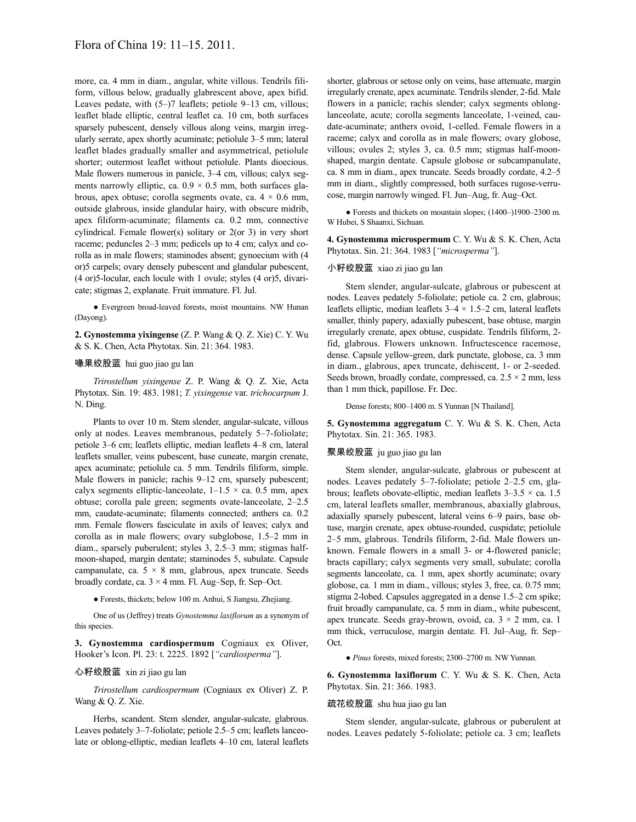more, ca. 4 mm in diam., angular, white villous. Tendrils filiform, villous below, gradually glabrescent above, apex bifid. Leaves pedate, with  $(5-)7$  leaflets; petiole 9–13 cm, villous; leaflet blade elliptic, central leaflet ca. 10 cm, both surfaces sparsely pubescent, densely villous along veins, margin irregularly serrate, apex shortly acuminate; petiolule 3–5 mm; lateral leaflet blades gradually smaller and asymmetrical, petiolule shorter; outermost leaflet without petiolule. Plants dioecious. Male flowers numerous in panicle, 3–4 cm, villous; calyx segments narrowly elliptic, ca.  $0.9 \times 0.5$  mm, both surfaces glabrous, apex obtuse; corolla segments ovate, ca.  $4 \times 0.6$  mm, outside glabrous, inside glandular hairy, with obscure midrib, apex filiform-acuminate; filaments ca. 0.2 mm, connective cylindrical. Female flower(s) solitary or 2(or 3) in very short raceme; peduncles 2–3 mm; pedicels up to 4 cm; calyx and corolla as in male flowers; staminodes absent; gynoecium with (4 or)5 carpels; ovary densely pubescent and glandular pubescent, (4 or)5-locular, each locule with 1 ovule; styles (4 or)5, divaricate; stigmas 2, explanate. Fruit immature. Fl. Jul.

● Evergreen broad-leaved forests, moist mountains. NW Hunan (Dayong).

**2. Gynostemma yixingense** (Z. P. Wang & Q. Z. Xie) C. Y. Wu & S. K. Chen, Acta Phytotax. Sin. 21: 364. 1983.

### 喙果绞股蓝 hui guo jiao gu lan

*Trirostellum yixingense* Z. P. Wang & Q. Z. Xie, Acta Phytotax. Sin. 19: 483. 1981; *T. yixingense* var. *trichocarpum* J. N. Ding.

Plants to over 10 m. Stem slender, angular-sulcate, villous only at nodes. Leaves membranous, pedately 5–7-foliolate; petiole 3–6 cm; leaflets elliptic, median leaflets 4–8 cm, lateral leaflets smaller, veins pubescent, base cuneate, margin crenate, apex acuminate; petiolule ca. 5 mm. Tendrils filiform, simple. Male flowers in panicle; rachis 9–12 cm, sparsely pubescent; calyx segments elliptic-lanceolate,  $1-1.5 \times$  ca. 0.5 mm, apex obtuse; corolla pale green; segments ovate-lanceolate, 2–2.5 mm, caudate-acuminate; filaments connected; anthers ca. 0.2 mm. Female flowers fasciculate in axils of leaves; calyx and corolla as in male flowers; ovary subglobose, 1.5–2 mm in diam., sparsely puberulent; styles 3, 2.5–3 mm; stigmas halfmoon-shaped, margin dentate; staminodes 5, subulate. Capsule campanulate, ca. 5 × 8 mm, glabrous, apex truncate. Seeds broadly cordate, ca. 3 × 4 mm. Fl. Aug–Sep, fr. Sep–Oct.

● Forests, thickets; below 100 m. Anhui, S Jiangsu, Zhejiang.

One of us (Jeffrey) treats *Gynostemma laxiflorum* as a synonym of this species.

**3. Gynostemma cardiospermum** Cogniaux ex Oliver, Hooker's Icon. Pl. 23: t. 2225. 1892 [*"cardiosperma"*].

## 心籽绞股蓝 xin zi jiao gu lan

*Trirostellum cardiospermum* (Cogniaux ex Oliver) Z. P. Wang & Q. Z. Xie.

Herbs, scandent. Stem slender, angular-sulcate, glabrous. Leaves pedately 3–7-foliolate; petiole 2.5–5 cm; leaflets lanceolate or oblong-elliptic, median leaflets 4–10 cm, lateral leaflets shorter, glabrous or setose only on veins, base attenuate, margin irregularly crenate, apex acuminate. Tendrils slender, 2-fid. Male flowers in a panicle; rachis slender; calyx segments oblonglanceolate, acute; corolla segments lanceolate, 1-veined, caudate-acuminate; anthers ovoid, 1-celled. Female flowers in a raceme; calyx and corolla as in male flowers; ovary globose, villous; ovules 2; styles 3, ca. 0.5 mm; stigmas half-moonshaped, margin dentate. Capsule globose or subcampanulate, ca. 8 mm in diam., apex truncate. Seeds broadly cordate, 4.2–5 mm in diam., slightly compressed, both surfaces rugose-verrucose, margin narrowly winged. Fl. Jun–Aug, fr. Aug–Oct.

● Forests and thickets on mountain slopes; (1400–)1900–2300 m. W Hubei, S Shaanxi, Sichuan.

**4. Gynostemma microspermum** C. Y. Wu & S. K. Chen, Acta Phytotax. Sin. 21: 364. 1983 [*"microsperma"*].

## 小籽绞股蓝 xiao zi jiao gu lan

Stem slender, angular-sulcate, glabrous or pubescent at nodes. Leaves pedately 5-foliolate; petiole ca. 2 cm, glabrous; leaflets elliptic, median leaflets  $3-4 \times 1.5-2$  cm, lateral leaflets smaller, thinly papery, adaxially pubescent, base obtuse, margin irregularly crenate, apex obtuse, cuspidate. Tendrils filiform, 2 fid, glabrous. Flowers unknown. Infructescence racemose, dense. Capsule yellow-green, dark punctate, globose, ca. 3 mm in diam., glabrous, apex truncate, dehiscent, 1- or 2-seeded. Seeds brown, broadly cordate, compressed, ca.  $2.5 \times 2$  mm, less than 1 mm thick, papillose. Fr. Dec.

Dense forests; 800–1400 m. S Yunnan [N Thailand].

**5. Gynostemma aggregatum** C. Y. Wu & S. K. Chen, Acta Phytotax. Sin. 21: 365. 1983.

# 聚果绞股蓝 ju guo jiao gu lan

Stem slender, angular-sulcate, glabrous or pubescent at nodes. Leaves pedately 5–7-foliolate; petiole 2–2.5 cm, glabrous; leaflets obovate-elliptic, median leaflets  $3-3.5 \times$  ca. 1.5 cm, lateral leaflets smaller, membranous, abaxially glabrous, adaxially sparsely pubescent, lateral veins 6–9 pairs, base obtuse, margin crenate, apex obtuse-rounded, cuspidate; petiolule 2–5 mm, glabrous. Tendrils filiform, 2-fid. Male flowers unknown. Female flowers in a small 3- or 4-flowered panicle; bracts capillary; calyx segments very small, subulate; corolla segments lanceolate, ca. 1 mm, apex shortly acuminate; ovary globose, ca. 1 mm in diam., villous; styles 3, free, ca. 0.75 mm; stigma 2-lobed. Capsules aggregated in a dense 1.5–2 cm spike; fruit broadly campanulate, ca. 5 mm in diam., white pubescent, apex truncate. Seeds gray-brown, ovoid, ca.  $3 \times 2$  mm, ca. 1 mm thick, verruculose, margin dentate. Fl. Jul–Aug, fr. Sep– Oct.

● *Pinus* forests, mixed forests; 2300–2700 m. NW Yunnan.

**6. Gynostemma laxiflorum** C. Y. Wu & S. K. Chen, Acta Phytotax. Sin. 21: 366. 1983.

## 疏花绞股蓝 shu hua jiao gu lan

Stem slender, angular-sulcate, glabrous or puberulent at nodes. Leaves pedately 5-foliolate; petiole ca. 3 cm; leaflets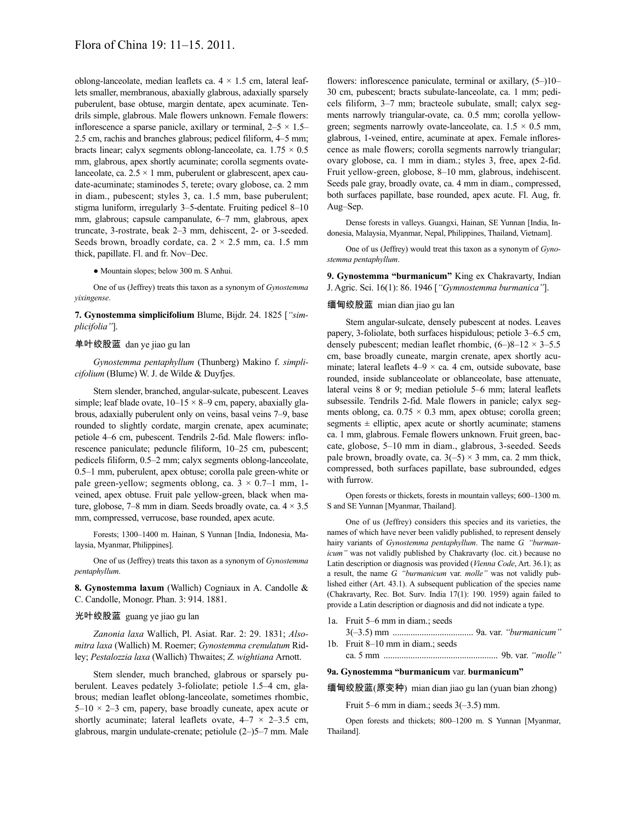oblong-lanceolate, median leaflets ca.  $4 \times 1.5$  cm, lateral leaflets smaller, membranous, abaxially glabrous, adaxially sparsely puberulent, base obtuse, margin dentate, apex acuminate. Tendrils simple, glabrous. Male flowers unknown. Female flowers: inflorescence a sparse panicle, axillary or terminal,  $2-5 \times 1.5-$ 2.5 cm, rachis and branches glabrous; pedicel filiform, 4–5 mm; bracts linear; calyx segments oblong-lanceolate, ca.  $1.75 \times 0.5$ mm, glabrous, apex shortly acuminate; corolla segments ovatelanceolate, ca.  $2.5 \times 1$  mm, puberulent or glabrescent, apex caudate-acuminate; staminodes 5, terete; ovary globose, ca. 2 mm in diam., pubescent; styles 3, ca. 1.5 mm, base puberulent; stigma luniform, irregularly 3–5-dentate. Fruiting pedicel 8–10 mm, glabrous; capsule campanulate, 6–7 mm, glabrous, apex truncate, 3-rostrate, beak 2–3 mm, dehiscent, 2- or 3-seeded. Seeds brown, broadly cordate, ca.  $2 \times 2.5$  mm, ca. 1.5 mm thick, papillate. Fl. and fr. Nov–Dec.

● Mountain slopes; below 300 m. S Anhui.

One of us (Jeffrey) treats this taxon as a synonym of *Gynostemma yixingense*.

**7. Gynostemma simplicifolium** Blume, Bijdr. 24. 1825 [*"simplicifolia"*].

## 单叶绞股蓝 dan ye jiao gu lan

*Gynostemma pentaphyllum* (Thunberg) Makino f. *simplicifolium* (Blume) W. J. de Wilde & Duyfjes.

Stem slender, branched, angular-sulcate, pubescent. Leaves simple; leaf blade ovate,  $10-15 \times 8-9$  cm, papery, abaxially glabrous, adaxially puberulent only on veins, basal veins 7–9, base rounded to slightly cordate, margin crenate, apex acuminate; petiole 4–6 cm, pubescent. Tendrils 2-fid. Male flowers: inflorescence paniculate; peduncle filiform, 10–25 cm, pubescent; pedicels filiform, 0.5–2 mm; calyx segments oblong-lanceolate, 0.5–1 mm, puberulent, apex obtuse; corolla pale green-white or pale green-yellow; segments oblong, ca.  $3 \times 0.7$ –1 mm, 1veined, apex obtuse. Fruit pale yellow-green, black when mature, globose, 7–8 mm in diam. Seeds broadly ovate, ca.  $4 \times 3.5$ mm, compressed, verrucose, base rounded, apex acute.

Forests; 1300–1400 m. Hainan, S Yunnan [India, Indonesia, Malaysia, Myanmar, Philippines].

One of us (Jeffrey) treats this taxon as a synonym of *Gynostemma pentaphyllum*.

**8. Gynostemma laxum** (Wallich) Cogniaux in A. Candolle & C. Candolle, Monogr. Phan. 3: 914. 1881.

## 光叶绞股蓝 guang ye jiao gu lan

*Zanonia laxa* Wallich, Pl. Asiat. Rar. 2: 29. 1831; *Alsomitra laxa* (Wallich) M. Roemer; *Gynostemma crenulatum* Ridley; *Pestalozzia laxa* (Wallich) Thwaites; *Z. wightiana* Arnott.

Stem slender, much branched, glabrous or sparsely puberulent. Leaves pedately 3-foliolate; petiole 1.5–4 cm, glabrous; median leaflet oblong-lanceolate, sometimes rhombic,  $5-10 \times 2-3$  cm, papery, base broadly cuneate, apex acute or shortly acuminate; lateral leaflets ovate,  $4-7 \times 2-3.5$  cm, glabrous, margin undulate-crenate; petiolule (2–)5–7 mm. Male

flowers: inflorescence paniculate, terminal or axillary, (5–)10– 30 cm, pubescent; bracts subulate-lanceolate, ca. 1 mm; pedicels filiform, 3–7 mm; bracteole subulate, small; calyx segments narrowly triangular-ovate, ca. 0.5 mm; corolla yellowgreen; segments narrowly ovate-lanceolate, ca.  $1.5 \times 0.5$  mm, glabrous, 1-veined, entire, acuminate at apex. Female inflorescence as male flowers; corolla segments narrowly triangular; ovary globose, ca. 1 mm in diam.; styles 3, free, apex 2-fid. Fruit yellow-green, globose, 8–10 mm, glabrous, indehiscent. Seeds pale gray, broadly ovate, ca. 4 mm in diam., compressed, both surfaces papillate, base rounded, apex acute. Fl. Aug, fr. Aug–Sep.

Dense forests in valleys. Guangxi, Hainan, SE Yunnan [India, Indonesia, Malaysia, Myanmar, Nepal, Philippines, Thailand, Vietnam].

One of us (Jeffrey) would treat this taxon as a synonym of *Gynostemma pentaphyllum*.

**9. Gynostemma "burmanicum"** King ex Chakravarty, Indian J. Agric. Sci. 16(1): 86. 1946 [*"Gymnostemma burmanica"*].

## 缅甸绞股蓝 mian dian jiao gu lan

Stem angular-sulcate, densely pubescent at nodes. Leaves papery, 3-foliolate, both surfaces hispidulous; petiole 3–6.5 cm, densely pubescent; median leaflet rhombic,  $(6-)8-12 \times 3-5.5$ cm, base broadly cuneate, margin crenate, apex shortly acuminate; lateral leaflets  $4-9 \times ca$ . 4 cm, outside subovate, base rounded, inside sublanceolate or oblanceolate, base attenuate, lateral veins 8 or 9; median petiolule 5–6 mm; lateral leaflets subsessile. Tendrils 2-fid. Male flowers in panicle; calyx segments oblong, ca.  $0.75 \times 0.3$  mm, apex obtuse; corolla green; segments  $\pm$  elliptic, apex acute or shortly acuminate; stamens ca. 1 mm, glabrous. Female flowers unknown. Fruit green, baccate, globose, 5–10 mm in diam., glabrous, 3-seeded. Seeds pale brown, broadly ovate, ca.  $3(-5) \times 3$  mm, ca. 2 mm thick, compressed, both surfaces papillate, base subrounded, edges with furrow.

Open forests or thickets, forests in mountain valleys; 600–1300 m. S and SE Yunnan [Myanmar, Thailand].

One of us (Jeffrey) considers this species and its varieties, the names of which have never been validly published, to represent densely hairy variants of *Gynostemma pentaphyllum*. The name *G. "burmanicum"* was not validly published by Chakravarty (loc. cit.) because no Latin description or diagnosis was provided (*Vienna Code*, Art. 36.1); as a result, the name *G. "burmanicum* var. *molle"* was not validly published either (Art. 43.1). A subsequent publication of the species name (Chakravarty, Rec. Bot. Surv. India 17(1): 190. 1959) again failed to provide a Latin description or diagnosis and did not indicate a type.

- 1a. Fruit 5–6 mm in diam.; seeds
- 3(–3.5) mm .................................... 9a. var. *"burmanicum"* 1b. Fruit 8–10 mm in diam.; seeds ca. 5 mm ................................................... 9b. var. *"molle"*
- 

# **9a. Gynostemma "burmanicum** var. **burmanicum"**

缅甸绞股蓝(原变种) mian dian jiao gu lan (yuan bian zhong)

Fruit 5–6 mm in diam.; seeds  $3(-3.5)$  mm.

Open forests and thickets; 800–1200 m. S Yunnan [Myanmar, Thailand].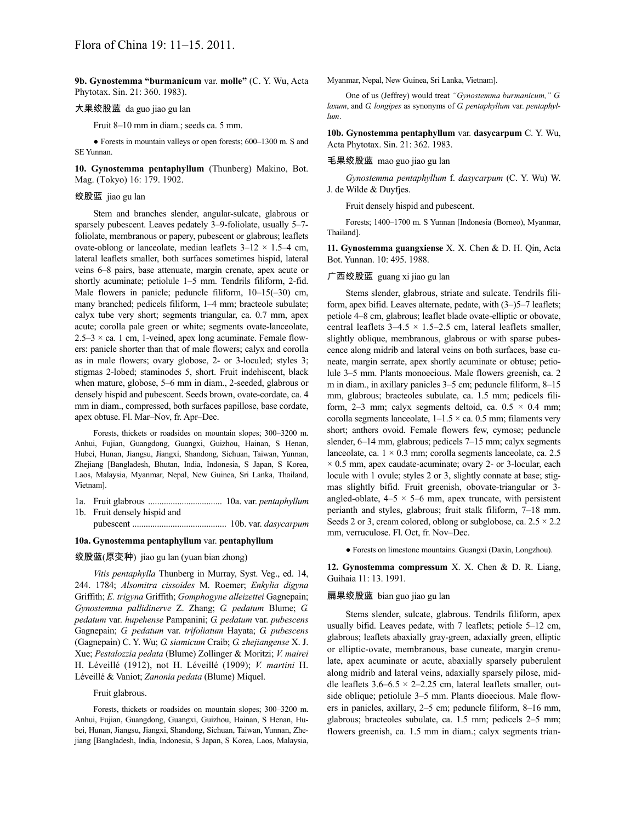**9b. Gynostemma "burmanicum** var. **molle"** (C. Y. Wu, Acta Phytotax. Sin. 21: 360. 1983).

## 大果绞股蓝 da guo jiao gu lan

Fruit 8–10 mm in diam.; seeds ca. 5 mm.

● Forests in mountain valleys or open forests; 600–1300 m. S and SE Yunnan.

**10. Gynostemma pentaphyllum** (Thunberg) Makino, Bot. Mag. (Tokyo) 16: 179. 1902.

### 绞股蓝 jiao gu lan

Stem and branches slender, angular-sulcate, glabrous or sparsely pubescent. Leaves pedately 3–9-foliolate, usually 5–7 foliolate, membranous or papery, pubescent or glabrous; leaflets ovate-oblong or lanceolate, median leaflets  $3-12 \times 1.5-4$  cm, lateral leaflets smaller, both surfaces sometimes hispid, lateral veins 6–8 pairs, base attenuate, margin crenate, apex acute or shortly acuminate; petiolule 1–5 mm. Tendrils filiform, 2-fid. Male flowers in panicle; peduncle filiform,  $10-15(-30)$  cm, many branched; pedicels filiform, 1–4 mm; bracteole subulate; calyx tube very short; segments triangular, ca. 0.7 mm, apex acute; corolla pale green or white; segments ovate-lanceolate,  $2.5-3 \times$  ca. 1 cm, 1-veined, apex long acuminate. Female flowers: panicle shorter than that of male flowers; calyx and corolla as in male flowers; ovary globose, 2- or 3-loculed; styles 3; stigmas 2-lobed; staminodes 5, short. Fruit indehiscent, black when mature, globose, 5–6 mm in diam., 2-seeded, glabrous or densely hispid and pubescent. Seeds brown, ovate-cordate, ca. 4 mm in diam., compressed, both surfaces papillose, base cordate, apex obtuse. Fl. Mar–Nov, fr. Apr–Dec.

Forests, thickets or roadsides on mountain slopes; 300–3200 m. Anhui, Fujian, Guangdong, Guangxi, Guizhou, Hainan, S Henan, Hubei, Hunan, Jiangsu, Jiangxi, Shandong, Sichuan, Taiwan, Yunnan, Zhejiang [Bangladesh, Bhutan, India, Indonesia, S Japan, S Korea, Laos, Malaysia, Myanmar, Nepal, New Guinea, Sri Lanka, Thailand, Vietnam].

1a. Fruit glabrous ................................. 10a. var. *pentaphyllum* 1b. Fruit densely hispid and

pubescent .......................................... 10b. var. *dasycarpum*

### **10a. Gynostemma pentaphyllum** var. **pentaphyllum**

# 绞股蓝(原变种) jiao gu lan (yuan bian zhong)

*Vitis pentaphylla* Thunberg in Murray, Syst. Veg., ed. 14, 244. 1784; *Alsomitra cissoides* M. Roemer; *Enkylia digyna* Griffith; *E. trigyna* Griffith; *Gomphogyne alleizettei* Gagnepain; *Gynostemma pallidinerve* Z. Zhang; *G. pedatum* Blume; *G. pedatum* var. *hupehense* Pampanini; *G. pedatum* var. *pubescens* Gagnepain; *G. pedatum* var. *trifoliatum* Hayata; *G. pubescens* (Gagnepain) C. Y. Wu; *G. siamicum* Craib; *G. zhejiangense* X. J. Xue; *Pestalozzia pedata* (Blume) Zollinger & Moritzi; *V. mairei* H. Léveillé (1912), not H. Léveillé (1909); *V. martini* H. Léveillé & Vaniot; *Zanonia pedata* (Blume) Miquel.

### Fruit glabrous.

Forests, thickets or roadsides on mountain slopes; 300–3200 m. Anhui, Fujian, Guangdong, Guangxi, Guizhou, Hainan, S Henan, Hubei, Hunan, Jiangsu, Jiangxi, Shandong, Sichuan, Taiwan, Yunnan, Zhejiang [Bangladesh, India, Indonesia, S Japan, S Korea, Laos, Malaysia, Myanmar, Nepal, New Guinea, Sri Lanka, Vietnam].

One of us (Jeffrey) would treat *"Gynostemma burmanicum," G. laxum*, and *G. longipes* as synonyms of *G. pentaphyllum* var. *pentaphyllum*.

**10b. Gynostemma pentaphyllum** var. **dasycarpum** C. Y. Wu, Acta Phytotax. Sin. 21: 362. 1983.

### 毛果绞股蓝 mao guo jiao gu lan

*Gynostemma pentaphyllum* f. *dasycarpum* (C. Y. Wu) W. J. de Wilde & Duyfjes.

Fruit densely hispid and pubescent.

Forests; 1400–1700 m. S Yunnan [Indonesia (Borneo), Myanmar, Thailand].

**11. Gynostemma guangxiense** X. X. Chen & D. H. Qin, Acta Bot. Yunnan. 10: 495. 1988.

### 广西绞股蓝 guang xi jiao gu lan

Stems slender, glabrous, striate and sulcate. Tendrils filiform, apex bifid. Leaves alternate, pedate, with (3–)5–7 leaflets; petiole 4–8 cm, glabrous; leaflet blade ovate-elliptic or obovate, central leaflets  $3-4.5 \times 1.5-2.5$  cm, lateral leaflets smaller, slightly oblique, membranous, glabrous or with sparse pubescence along midrib and lateral veins on both surfaces, base cuneate, margin serrate, apex shortly acuminate or obtuse; petiolule 3–5 mm. Plants monoecious. Male flowers greenish, ca. 2 m in diam., in axillary panicles 3–5 cm; peduncle filiform, 8–15 mm, glabrous; bracteoles subulate, ca. 1.5 mm; pedicels filiform, 2–3 mm; calyx segments deltoid, ca.  $0.5 \times 0.4$  mm; corolla segments lanceolate,  $1-1.5 \times$  ca. 0.5 mm; filaments very short; anthers ovoid. Female flowers few, cymose; peduncle slender, 6–14 mm, glabrous; pedicels 7–15 mm; calyx segments lanceolate, ca.  $1 \times 0.3$  mm; corolla segments lanceolate, ca. 2.5  $\times$  0.5 mm, apex caudate-acuminate; ovary 2- or 3-locular, each locule with 1 ovule; styles 2 or 3, slightly connate at base; stigmas slightly bifid. Fruit greenish, obovate-triangular or 3 angled-oblate,  $4-5 \times 5-6$  mm, apex truncate, with persistent perianth and styles, glabrous; fruit stalk filiform, 7–18 mm. Seeds 2 or 3, cream colored, oblong or subglobose, ca.  $2.5 \times 2.2$ mm, verruculose. Fl. Oct, fr. Nov–Dec.

● Forests on limestone mountains. Guangxi (Daxin, Longzhou).

**12. Gynostemma compressum** X. X. Chen & D. R. Liang, Guihaia 11: 13. 1991.

### 扁果绞股蓝 bian guo jiao gu lan

Stems slender, sulcate, glabrous. Tendrils filiform, apex usually bifid. Leaves pedate, with 7 leaflets; petiole 5–12 cm, glabrous; leaflets abaxially gray-green, adaxially green, elliptic or elliptic-ovate, membranous, base cuneate, margin crenulate, apex acuminate or acute, abaxially sparsely puberulent along midrib and lateral veins, adaxially sparsely pilose, middle leaflets  $3.6-6.5 \times 2-2.25$  cm, lateral leaflets smaller, outside oblique; petiolule 3–5 mm. Plants dioecious. Male flowers in panicles, axillary, 2–5 cm; peduncle filiform, 8–16 mm, glabrous; bracteoles subulate, ca. 1.5 mm; pedicels 2–5 mm; flowers greenish, ca. 1.5 mm in diam.; calyx segments trian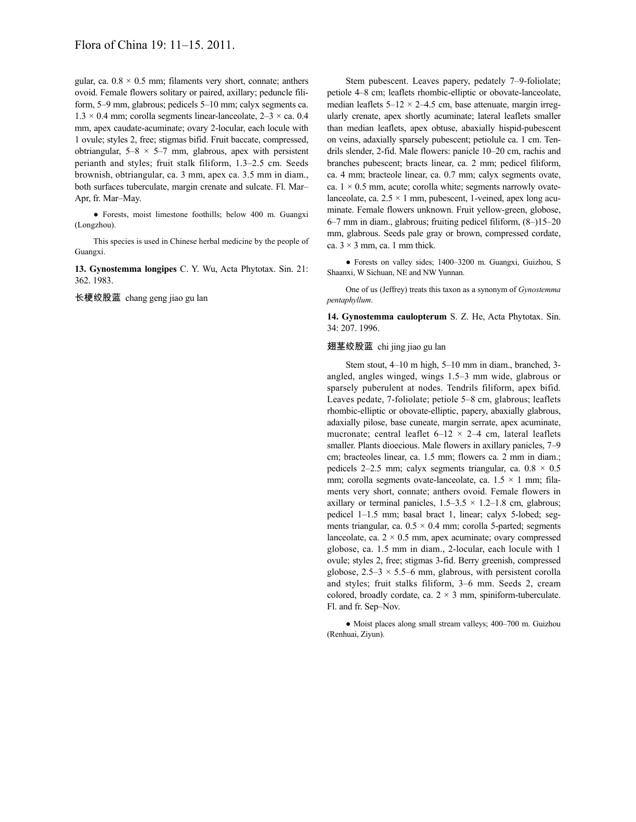gular, ca.  $0.8 \times 0.5$  mm; filaments very short, connate; anthers ovoid. Female flowers solitary or paired, axillary; peduncle filiform, 5–9 mm, glabrous; pedicels 5–10 mm; calyx segments ca.  $1.3 \times 0.4$  mm; corolla segments linear-lanceolate,  $2-3 \times$  ca. 0.4 mm, apex caudate-acuminate; ovary 2-locular, each locule with 1 ovule; styles 2, free; stigmas bifid. Fruit baccate, compressed, obtriangular,  $5-8 \times 5-7$  mm, glabrous, apex with persistent perianth and styles; fruit stalk filiform, 1.3–2.5 cm. Seeds brownish, obtriangular, ca. 3 mm, apex ca. 3.5 mm in diam., both surfaces tuberculate, margin crenate and sulcate. Fl. Mar– Apr, fr. Mar–May.

● Forests, moist limestone foothills; below 400 m. Guangxi (Longzhou).

This species is used in Chinese herbal medicine by the people of Guangxi.

**13. Gynostemma longipes** C. Y. Wu, Acta Phytotax. Sin. 21: 362. 1983.

长梗绞股蓝 chang geng jiao gu lan

Stem pubescent. Leaves papery, pedately 7–9-foliolate; petiole 4–8 cm; leaflets rhombic-elliptic or obovate-lanceolate, median leaflets  $5-12 \times 2-4.5$  cm, base attenuate, margin irregularly crenate, apex shortly acuminate; lateral leaflets smaller than median leaflets, apex obtuse, abaxially hispid-pubescent on veins, adaxially sparsely pubescent; petiolule ca. 1 cm. Tendrils slender, 2-fid. Male flowers: panicle 10–20 cm, rachis and branches pubescent; bracts linear, ca. 2 mm; pedicel filiform, ca. 4 mm; bracteole linear, ca. 0.7 mm; calyx segments ovate, ca.  $1 \times 0.5$  mm, acute; corolla white; segments narrowly ovatelanceolate, ca.  $2.5 \times 1$  mm, pubescent, 1-veined, apex long acuminate. Female flowers unknown. Fruit yellow-green, globose, 6–7 mm in diam., glabrous; fruiting pedicel filiform, (8–)15–20 mm, glabrous. Seeds pale gray or brown, compressed cordate, ca.  $3 \times 3$  mm, ca. 1 mm thick.

● Forests on valley sides; 1400–3200 m. Guangxi, Guizhou, S Shaanxi, W Sichuan, NE and NW Yunnan.

One of us (Jeffrey) treats this taxon as a synonym of *Gynostemma pentaphyllum*.

**14. Gynostemma caulopterum** S. Z. He, Acta Phytotax. Sin. 34: 207. 1996.

#### 翅茎绞股蓝 chi jing jiao gu lan

Stem stout, 4–10 m high, 5–10 mm in diam., branched, 3 angled, angles winged, wings 1.5–3 mm wide, glabrous or sparsely puberulent at nodes. Tendrils filiform, apex bifid. Leaves pedate, 7-foliolate; petiole 5–8 cm, glabrous; leaflets rhombic-elliptic or obovate-elliptic, papery, abaxially glabrous, adaxially pilose, base cuneate, margin serrate, apex acuminate, mucronate; central leaflet  $6-12 \times 2-4$  cm, lateral leaflets smaller. Plants dioecious. Male flowers in axillary panicles, 7–9 cm; bracteoles linear, ca. 1.5 mm; flowers ca. 2 mm in diam.; pedicels 2–2.5 mm; calyx segments triangular, ca.  $0.8 \times 0.5$ mm; corolla segments ovate-lanceolate, ca.  $1.5 \times 1$  mm; filaments very short, connate; anthers ovoid. Female flowers in axillary or terminal panicles,  $1.5-3.5 \times 1.2-1.8$  cm, glabrous; pedicel 1–1.5 mm; basal bract 1, linear; calyx 5-lobed; segments triangular, ca.  $0.5 \times 0.4$  mm; corolla 5-parted; segments lanceolate, ca.  $2 \times 0.5$  mm, apex acuminate; ovary compressed globose, ca. 1.5 mm in diam., 2-locular, each locule with 1 ovule; styles 2, free; stigmas 3-fid. Berry greenish, compressed globose,  $2.5-3 \times 5.5-6$  mm, glabrous, with persistent corolla and styles; fruit stalks filiform, 3–6 mm. Seeds 2, cream colored, broadly cordate, ca.  $2 \times 3$  mm, spiniform-tuberculate. Fl. and fr. Sep–Nov.

● Moist places along small stream valleys; 400–700 m. Guizhou (Renhuai, Ziyun).